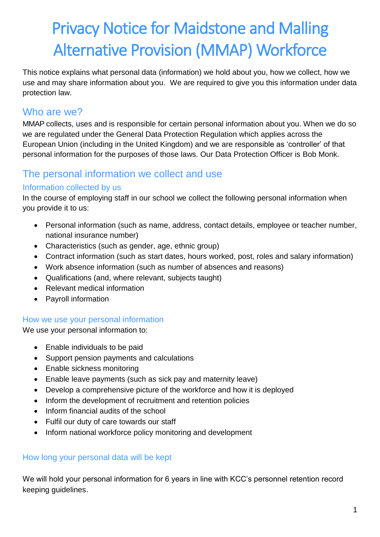# Privacy Notice for Maidstone and Malling Alternative Provision (MMAP) Workforce

This notice explains what personal data (information) we hold about you, how we collect, how we use and may share information about you. We are required to give you this information under data protection law.

## Who are we?

MMAP collects, uses and is responsible for certain personal information about you. When we do so we are regulated under the General Data Protection Regulation which applies across the European Union (including in the United Kingdom) and we are responsible as 'controller' of that personal information for the purposes of those laws. Our Data Protection Officer is Bob Monk.

## The personal information we collect and use

#### Information collected by us

In the course of employing staff in our school we collect the following personal information when you provide it to us:

- Personal information (such as name, address, contact details, employee or teacher number, national insurance number)
- Characteristics (such as gender, age, ethnic group)
- Contract information (such as start dates, hours worked, post, roles and salary information)
- Work absence information (such as number of absences and reasons)
- Qualifications (and, where relevant, subjects taught)
- Relevant medical information
- Payroll information

#### How we use your personal information

We use your personal information to:

- Enable individuals to be paid
- Support pension payments and calculations
- Enable sickness monitoring
- Enable leave payments (such as sick pay and maternity leave)
- Develop a comprehensive picture of the workforce and how it is deployed
- Inform the development of recruitment and retention policies
- Inform financial audits of the school
- Fulfil our duty of care towards our staff
- Inform national workforce policy monitoring and development

#### How long your personal data will be kept

We will hold your personal information for 6 years in line with KCC's personnel retention record keeping guidelines.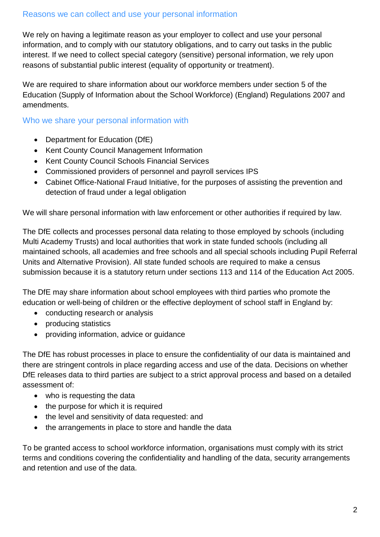We rely on having a legitimate reason as your employer to collect and use your personal information, and to comply with our statutory obligations, and to carry out tasks in the public interest. If we need to collect special category (sensitive) personal information, we rely upon reasons of substantial public interest (equality of opportunity or treatment).

We are required to share information about our workforce members under section 5 of the Education (Supply of Information about the School Workforce) (England) Regulations 2007 and amendments.

#### Who we share your personal information with

- Department for Education (DfE)
- Kent County Council Management Information
- Kent County Council Schools Financial Services
- Commissioned providers of personnel and payroll services IPS
- Cabinet Office-National Fraud Initiative, for the purposes of assisting the prevention and detection of fraud under a legal obligation

We will share personal information with law enforcement or other authorities if required by law.

The DfE collects and processes personal data relating to those employed by schools (including Multi Academy Trusts) and local authorities that work in state funded schools (including all maintained schools, all academies and free schools and all special schools including Pupil Referral Units and Alternative Provision). All state funded schools are required to make a census submission because it is a statutory return under sections 113 and 114 of the Education Act 2005.

The DfE may share information about school employees with third parties who promote the education or well-being of children or the effective deployment of school staff in England by:

- conducting research or analysis
- producing statistics
- providing information, advice or guidance

The DfE has robust processes in place to ensure the confidentiality of our data is maintained and there are stringent controls in place regarding access and use of the data. Decisions on whether DfE releases data to third parties are subject to a strict approval process and based on a detailed assessment of:

- who is requesting the data
- the purpose for which it is required
- the level and sensitivity of data requested: and
- the arrangements in place to store and handle the data

To be granted access to school workforce information, organisations must comply with its strict terms and conditions covering the confidentiality and handling of the data, security arrangements and retention and use of the data.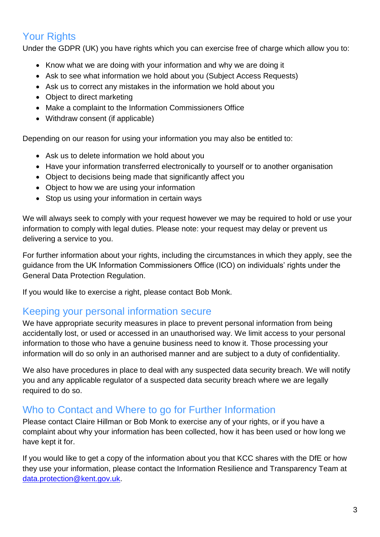## Your Rights

Under the GDPR (UK) you have rights which you can exercise free of charge which allow you to:

- Know what we are doing with your information and why we are doing it
- Ask to see what information we hold about you (Subject Access Requests)
- Ask us to correct any mistakes in the information we hold about you
- Object to direct marketing
- Make a complaint to the Information Commissioners Office
- Withdraw consent (if applicable)

Depending on our reason for using your information you may also be entitled to:

- Ask us to delete information we hold about you
- Have your information transferred electronically to yourself or to another organisation
- Object to decisions being made that significantly affect you
- Object to how we are using your information
- Stop us using your information in certain ways

We will always seek to comply with your request however we may be required to hold or use your information to comply with legal duties. Please note: your request may delay or prevent us delivering a service to you.

For further information about your rights, including the circumstances in which they apply, see the guidance from the UK Information Commissioners Office (ICO) on individuals' rights under the General Data Protection Regulation.

If you would like to exercise a right, please contact Bob Monk.

### Keeping your personal information secure

We have appropriate security measures in place to prevent personal information from being accidentally lost, or used or accessed in an unauthorised way. We limit access to your personal information to those who have a genuine business need to know it. Those processing your information will do so only in an authorised manner and are subject to a duty of confidentiality.

We also have procedures in place to deal with any suspected data security breach. We will notify you and any applicable regulator of a suspected data security breach where we are legally required to do so.

## Who to Contact and Where to go for Further Information

Please contact Claire Hillman or Bob Monk to exercise any of your rights, or if you have a complaint about why your information has been collected, how it has been used or how long we have kept it for.

If you would like to get a copy of the information about you that KCC shares with the DfE or how they use your information, please contact the Information Resilience and Transparency Team at [data.protection@kent.gov.uk.](mailto:data.protection@kent.gov.uk)